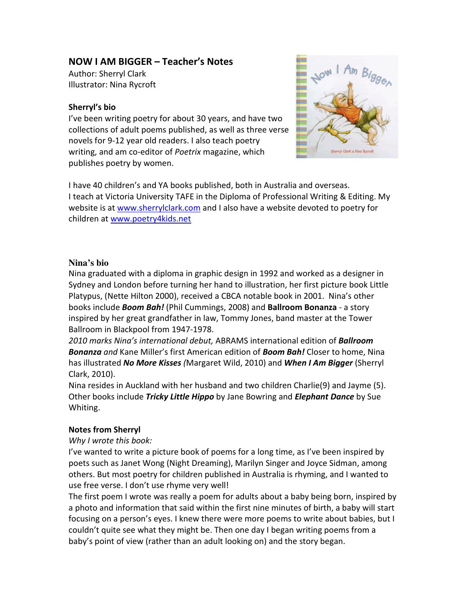# NOW I AM BIGGER – Teacher's Notes

Author: Sherryl Clark Illustrator: Nina Rycroft

### Sherryl's bio

I've been writing poetry for about 30 years, and have two collections of adult poems published, as well as three verse novels for 9-12 year old readers. I also teach poetry writing, and am co-editor of Poetrix magazine, which publishes poetry by women.



I have 40 children's and YA books published, both in Australia and overseas. I teach at Victoria University TAFE in the Diploma of Professional Writing & Editing. My website is at www.sherrylclark.com and I also have a website devoted to poetry for children at www.poetry4kids.net

# **Nina's bio**

Nina graduated with a diploma in graphic design in 1992 and worked as a designer in Sydney and London before turning her hand to illustration, her first picture book Little Platypus, (Nette Hilton 2000), received a CBCA notable book in 2001. Nina's other books include **Boom Bah!** (Phil Cummings, 2008) and **Ballroom Bonanza** - a story inspired by her great grandfather in law, Tommy Jones, band master at the Tower Ballroom in Blackpool from 1947-1978.

2010 marks Nina's international debut, ABRAMS international edition of Ballroom Bonanza and Kane Miller's first American edition of Boom Bah! Closer to home, Nina has illustrated No More Kisses (Margaret Wild, 2010) and When I Am Bigger (Sherryl Clark, 2010).

Nina resides in Auckland with her husband and two children Charlie(9) and Jayme (5). Other books include Tricky Little Hippo by Jane Bowring and Elephant Dance by Sue Whiting.

#### Notes from Sherryl

#### Why I wrote this book:

I've wanted to write a picture book of poems for a long time, as I've been inspired by poets such as Janet Wong (Night Dreaming), Marilyn Singer and Joyce Sidman, among others. But most poetry for children published in Australia is rhyming, and I wanted to use free verse. I don't use rhyme very well!

The first poem I wrote was really a poem for adults about a baby being born, inspired by a photo and information that said within the first nine minutes of birth, a baby will start focusing on a person's eyes. I knew there were more poems to write about babies, but I couldn't quite see what they might be. Then one day I began writing poems from a baby's point of view (rather than an adult looking on) and the story began.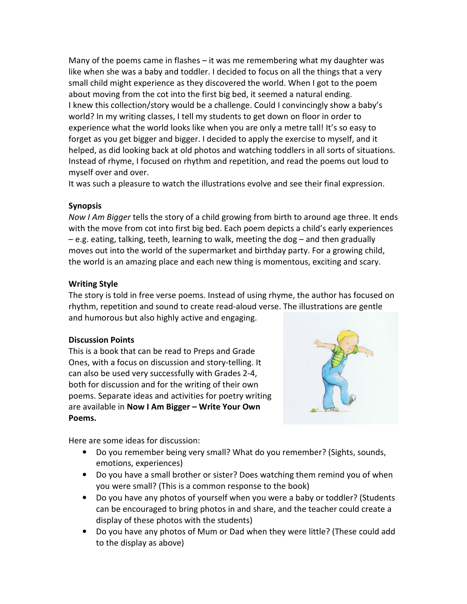Many of the poems came in flashes – it was me remembering what my daughter was like when she was a baby and toddler. I decided to focus on all the things that a very small child might experience as they discovered the world. When I got to the poem about moving from the cot into the first big bed, it seemed a natural ending. I knew this collection/story would be a challenge. Could I convincingly show a baby's world? In my writing classes, I tell my students to get down on floor in order to experience what the world looks like when you are only a metre tall! It's so easy to forget as you get bigger and bigger. I decided to apply the exercise to myself, and it helped, as did looking back at old photos and watching toddlers in all sorts of situations. Instead of rhyme, I focused on rhythm and repetition, and read the poems out loud to myself over and over.

It was such a pleasure to watch the illustrations evolve and see their final expression.

### Synopsis

Now I Am Bigger tells the story of a child growing from birth to around age three. It ends with the move from cot into first big bed. Each poem depicts a child's early experiences – e.g. eating, talking, teeth, learning to walk, meeting the dog – and then gradually moves out into the world of the supermarket and birthday party. For a growing child, the world is an amazing place and each new thing is momentous, exciting and scary.

### Writing Style

The story is told in free verse poems. Instead of using rhyme, the author has focused on rhythm, repetition and sound to create read-aloud verse. The illustrations are gentle and humorous but also highly active and engaging.

# Discussion Points

This is a book that can be read to Preps and Grade Ones, with a focus on discussion and story-telling. It can also be used very successfully with Grades 2-4, both for discussion and for the writing of their own poems. Separate ideas and activities for poetry writing are available in Now I Am Bigger - Write Your Own Poems.



Here are some ideas for discussion:

- Do you remember being very small? What do you remember? (Sights, sounds, emotions, experiences)
- Do you have a small brother or sister? Does watching them remind you of when you were small? (This is a common response to the book)
- Do you have any photos of yourself when you were a baby or toddler? (Students can be encouraged to bring photos in and share, and the teacher could create a display of these photos with the students)
- Do you have any photos of Mum or Dad when they were little? (These could add to the display as above)